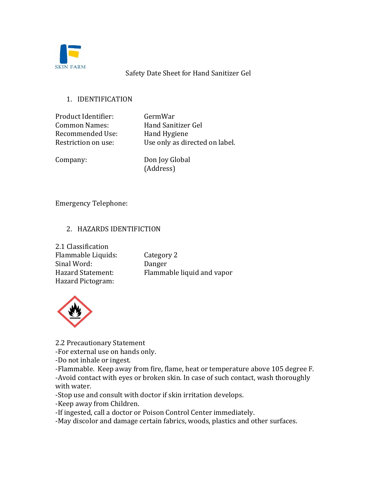

### Safety Date Sheet for Hand Sanitizer Gel

### 1. IDENTIFICATION

Product Identifier: GermWar Common Names: Hand Sanitizer Gel Recommended Use: Hand Hygiene

Restriction on use: Use only as directed on label.

Company: Don Joy Global (Address)

Emergency Telephone:

## 2. HAZARDS IDENTIFICTION

2.1 Classification Flammable Liquids: Category 2 Sinal Word: Danger Hazard Pictogram:

Hazard Statement: Flammable liquid and vapor



2.2 Precautionary Statement

-For external use on hands only.

-Do not inhale or ingest.

-Flammable. Keep away from fire, flame, heat or temperature above 105 degree F. -Avoid contact with eyes or broken skin. In case of such contact, wash thoroughly with water.

-Stop use and consult with doctor if skin irritation develops.

-Keep away from Children.

-If ingested, call a doctor or Poison Control Center immediately.

-May discolor and damage certain fabrics, woods, plastics and other surfaces.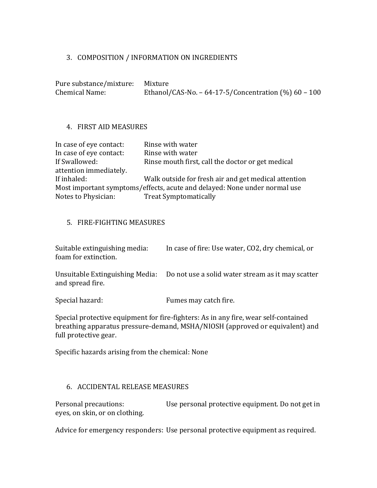#### 3. COMPOSITION / INFORMATION ON INGREDIENTS

| Pure substance/mixture: Mixture |                                                        |
|---------------------------------|--------------------------------------------------------|
| <b>Chemical Name:</b>           | Ethanol/CAS-No. $-64-17-5$ /Concentration (%) 60 - 100 |

#### 4. FIRST AID MEASURES

| Rinse with water                                                          |
|---------------------------------------------------------------------------|
| Rinse with water                                                          |
| Rinse mouth first, call the doctor or get medical                         |
|                                                                           |
| Walk outside for fresh air and get medical attention                      |
| Most important symptoms/effects, acute and delayed: None under normal use |
| <b>Treat Symptomatically</b>                                              |
|                                                                           |

#### 5. FIRE-FIGHTING MEASURES

Suitable extinguishing media: In case of fire: Use water, CO2, dry chemical, or foam for extinction.

Unsuitable Extinguishing Media: Do not use a solid water stream as it may scatter and spread fire.

Special hazard: Fumes may catch fire.

Special protective equipment for fire-fighters: As in any fire, wear self-contained breathing apparatus pressure-demand, MSHA/NIOSH (approved or equivalent) and full protective gear.

Specific hazards arising from the chemical: None

### 6. ACCIDENTAL RELEASE MEASURES

Personal precautions: Use personal protective equipment. Do not get in eyes, on skin, or on clothing.

Advice for emergency responders: Use personal protective equipment as required.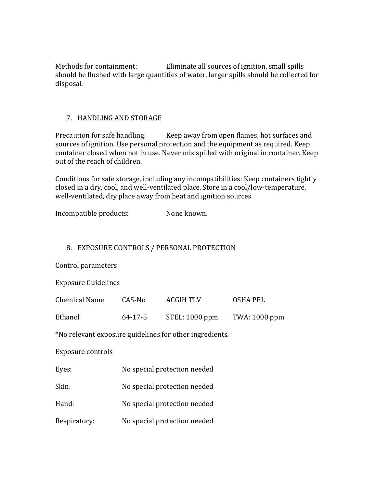Methods for containment: Eliminate all sources of ignition, small spills should be flushed with large quantities of water, larger spills should be collected for disposal.

### 7. HANDLING AND STORAGE

Precaution for safe handling: Keep away from open flames, hot surfaces and sources of ignition. Use personal protection and the equipment as required. Keep container closed when not in use. Never mix spilled with original in container. Keep out of the reach of children.

Conditions for safe storage, including any incompatibilities: Keep containers tightly closed in a dry, cool, and well-ventilated place. Store in a cool/low-temperature, well-ventilated, dry place away from heat and ignition sources.

Incompatible products: None known.

### 8. EXPOSURE CONTROLS / PERSONAL PROTECTION

Control parameters

Exposure Guidelines

| Chemical Name | CAS-No  | <b>ACGIH TLV</b> | OSHA PEL      |
|---------------|---------|------------------|---------------|
| Ethanol       | 64-17-5 | $STEL: 1000$ ppm | TWA: 1000 ppm |

\*No relevant exposure guidelines for other ingredients.

Exposure controls

| Eyes: | No special protection needed |
|-------|------------------------------|
|       |                              |

- Skin: No special protection needed
- Hand: No special protection needed
- Respiratory: No special protection needed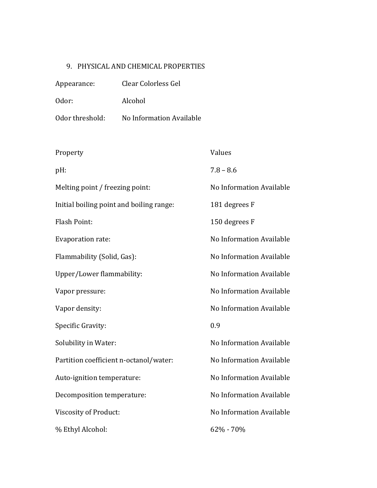# 9. PHYSICAL AND CHEMICAL PROPERTIES

| Appearance:     | Clear Colorless Gel      |
|-----------------|--------------------------|
| Odor:           | Alcohol                  |
| Odor threshold: | No Information Available |

| Property                                 | Values                   |
|------------------------------------------|--------------------------|
| pH:                                      | $7.8 - 8.6$              |
| Melting point / freezing point:          | No Information Available |
| Initial boiling point and boiling range: | 181 degrees F            |
| <b>Flash Point:</b>                      | 150 degrees F            |
| Evaporation rate:                        | No Information Available |
| Flammability (Solid, Gas):               | No Information Available |
| Upper/Lower flammability:                | No Information Available |
| Vapor pressure:                          | No Information Available |
| Vapor density:                           | No Information Available |
| Specific Gravity:                        | 0.9                      |
| Solubility in Water:                     | No Information Available |
| Partition coefficient n-octanol/water:   | No Information Available |
| Auto-ignition temperature:               | No Information Available |
| Decomposition temperature:               | No Information Available |
| <b>Viscosity of Product:</b>             | No Information Available |
| % Ethyl Alcohol:                         | 62% - 70%                |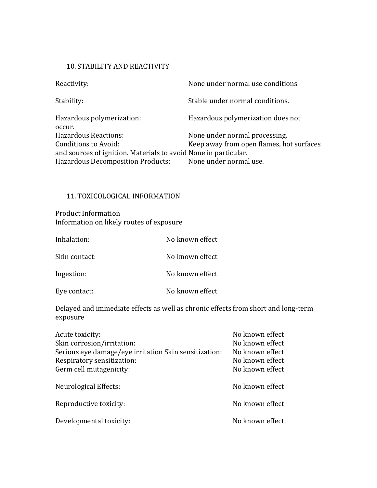#### 10. STABILITY AND REACTIVITY

| None under normal use conditions                                |
|-----------------------------------------------------------------|
| Stable under normal conditions.                                 |
| Hazardous polymerization does not                               |
| None under normal processing.                                   |
| Keep away from open flames, hot surfaces                        |
| and sources of ignition. Materials to avoid None in particular. |
| None under normal use.                                          |
|                                                                 |

### 11. TOXICOLOGICAL INFORMATION

Product Information Information on likely routes of exposure

| Inhalation:   | No known effect |
|---------------|-----------------|
| Skin contact: | No known effect |
| Ingestion:    | No known effect |
| Eye contact:  | No known effect |

Delayed and immediate effects as well as chronic effects from short and long-term exposure

| Acute toxicity:                                       | No known effect |
|-------------------------------------------------------|-----------------|
| Skin corrosion/irritation:                            | No known effect |
| Serious eye damage/eye irritation Skin sensitization: | No known effect |
| Respiratory sensitization:                            | No known effect |
| Germ cell mutagenicity:                               | No known effect |
| Neurological Effects:                                 | No known effect |
| Reproductive toxicity:                                | No known effect |
| Developmental toxicity:                               | No known effect |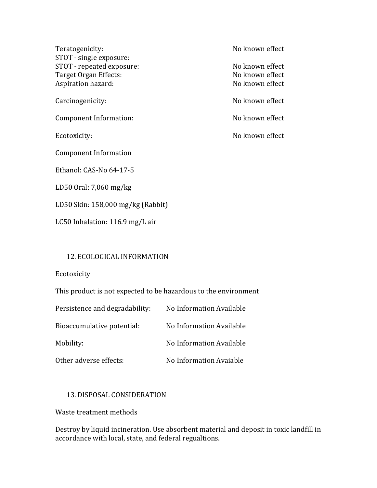Teratogenicity: No known effect STOT - single exposure: STOT - repeated exposure: No known effect Target Organ Effects: No known effect Aspiration hazard: No known effect Carcinogenicity: No known effect Component Information: No known effect Ecotoxicity: No known effect Component Information Ethanol: CAS-No 64-17-5 LD50 Oral: 7,060 mg/kg LD50 Skin: 158,000 mg/kg (Rabbit) LC50 Inhalation: 116.9 mg/L air

### 12. ECOLOGICAL INFORMATION

Ecotoxicity

This product is not expected to be hazardous to the environment

| Persistence and degradability: | No Information Available |
|--------------------------------|--------------------------|
| Bioaccumulative potential:     | No Information Available |
| Mobility:                      | No Information Available |
| Other adverse effects:         | No Information Avaiable  |

#### 13. DISPOSAL CONSIDERATION

Waste treatment methods

Destroy by liquid incineration. Use absorbent material and deposit in toxic landfill in accordance with local, state, and federal regualtions.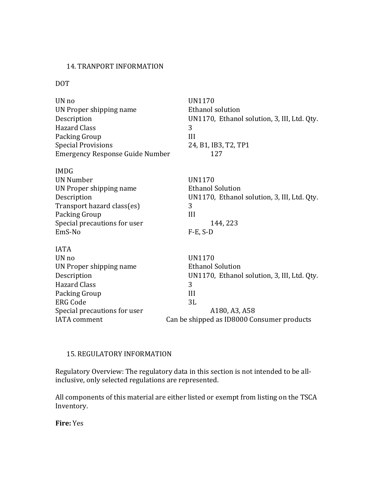#### 14. TRANPORT INFORMATION

#### DOT

| UN no                                  | <b>UN1170</b>                               |
|----------------------------------------|---------------------------------------------|
| UN Proper shipping name                | <b>Ethanol solution</b>                     |
| Description                            | UN1170, Ethanol solution, 3, III, Ltd. Qty. |
| <b>Hazard Class</b>                    | 3                                           |
| Packing Group                          | III                                         |
| <b>Special Provisions</b>              | 24, B1, IB3, T2, TP1                        |
| <b>Emergency Response Guide Number</b> | 127                                         |
| <b>IMDG</b>                            |                                             |
| <b>UN Number</b>                       | <b>UN1170</b>                               |
| UN Proper shipping name                | <b>Ethanol Solution</b>                     |
| Description                            | UN1170, Ethanol solution, 3, III, Ltd. Qty. |
| Transport hazard class(es)             | 3                                           |
| Packing Group                          | III                                         |
| Special precautions for user           | 144, 223                                    |
| EmS-No                                 | $F-E$ , $S-D$                               |
| <b>IATA</b>                            |                                             |
| UN no                                  | <b>UN1170</b>                               |
| UN Proper shipping name                | <b>Ethanol Solution</b>                     |
| Description                            | UN1170, Ethanol solution, 3, III, Ltd. Qty. |
| <b>Hazard Class</b>                    | 3                                           |
| Packing Group                          | III                                         |
| <b>ERG Code</b>                        | 3L                                          |
| Special precautions for user           | A180, A3, A58                               |
| <b>IATA</b> comment                    | Can be shipped as ID8000 Consumer products  |

#### 15. REGULATORY INFORMATION

Regulatory Overview: The regulatory data in this section is not intended to be allinclusive, only selected regulations are represented.

All components of this material are either listed or exempt from listing on the TSCA Inventory.

**Fire:** Yes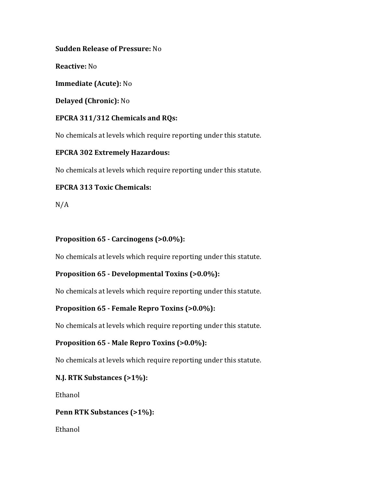### **Sudden Release of Pressure:** No

**Reactive:** No

**Immediate (Acute):** No

**Delayed (Chronic):** No

## **EPCRA 311/312 Chemicals and RQs:**

No chemicals at levels which require reporting under this statute.

### **EPCRA 302 Extremely Hazardous:**

No chemicals at levels which require reporting under this statute.

## **EPCRA 313 Toxic Chemicals:**

N/A

### **Proposition 65 - Carcinogens (>0.0%):**

No chemicals at levels which require reporting under this statute.

## **Proposition 65 - Developmental Toxins (>0.0%):**

No chemicals at levels which require reporting under this statute.

## **Proposition 65 - Female Repro Toxins (>0.0%):**

No chemicals at levels which require reporting under this statute.

## **Proposition 65 - Male Repro Toxins (>0.0%):**

No chemicals at levels which require reporting under this statute.

## **N.J. RTK Substances (>1%):**

Ethanol

## **Penn RTK Substances (>1%):**

Ethanol